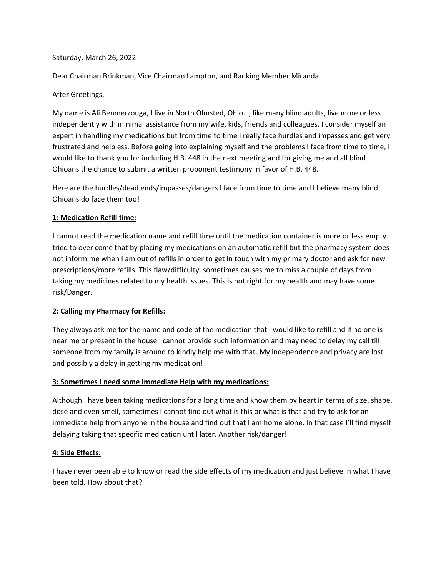#### Saturday, March 26, 2022

Dear Chairman Brinkman, Vice Chairman Lampton, and Ranking Member Miranda:

## After Greetings,

My name is Ali Benmerzouga, I live in North Olmsted, Ohio. I, like many blind adults, live more or less independently with minimal assistance from my wife, kids, friends and colleagues. I consider myself an expert in handling my medications but from time to time I really face hurdles and impasses and get very frustrated and helpless. Before going into explaining myself and the problems I face from time to time, I would like to thank you for including H.B. 448 in the next meeting and for giving me and all blind Ohioans the chance to submit a written proponent testimony in favor of H.B. 448.

Here are the hurdles/dead ends/impasses/dangers I face from time to time and I believe many blind Ohioans do face them too!

## **1: Medication Refill time:**

I cannot read the medication name and refill time until the medication container is more or less empty. I tried to over come that by placing my medications on an automatic refill but the pharmacy system does not inform me when I am out of refills in order to get in touch with my primary doctor and ask for new prescriptions/more refills. This flaw/difficulty, sometimes causes me to miss a couple of days from taking my medicines related to my health issues. This is not right for my health and may have some risk/Danger.

# **2: Calling my Pharmacy for Refills:**

They always ask me for the name and code of the medication that I would like to refill and if no one is near me or present in the house I cannot provide such information and may need to delay my call till someone from my family is around to kindly help me with that. My independence and privacy are lost and possibly a delay in getting my medication!

### **3: Sometimes I need some Immediate Help with my medications:**

Although I have been taking medications for a long time and know them by heart in terms of size, shape, dose and even smell, sometimes I cannot find out what is this or what is that and try to ask for an immediate help from anyone in the house and find out that I am home alone. In that case I'll find myself delaying taking that specific medication until later. Another risk/danger!

### **4: Side Effects:**

I have never been able to know or read the side effects of my medication and just believe in what I have been told. How about that?